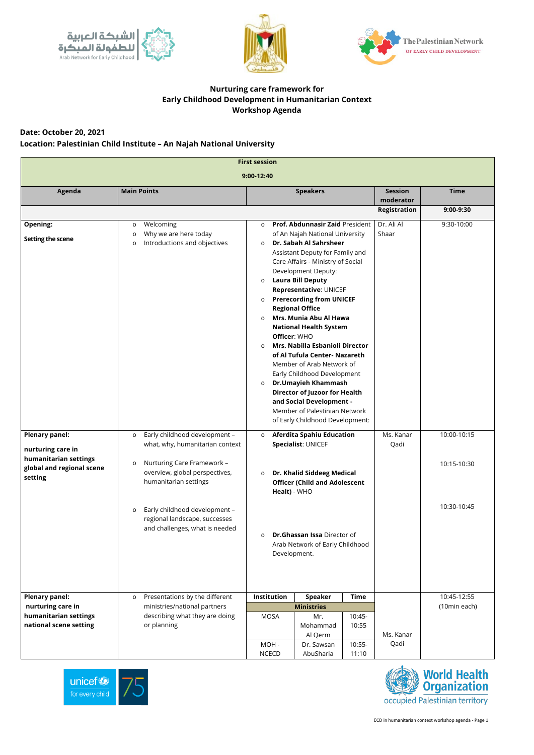ECD in humanitarian context workshop agenda - Page 1







## **Nurturing care framework for Early Childhood Development in Humanitarian Context Workshop Agenda**

**Date: October 20, 2021**

**Location: Palestinian Child Institute – An Najah National University** 

| <b>First session</b>                                                                                        |                                                                                                                                                                                                                                                                                                |                                                                                                                                                                                                                                                                                                                                                                                                                                                                                                                                                                                                                                                                                                                                                                        |                             |                                           |  |  |  |
|-------------------------------------------------------------------------------------------------------------|------------------------------------------------------------------------------------------------------------------------------------------------------------------------------------------------------------------------------------------------------------------------------------------------|------------------------------------------------------------------------------------------------------------------------------------------------------------------------------------------------------------------------------------------------------------------------------------------------------------------------------------------------------------------------------------------------------------------------------------------------------------------------------------------------------------------------------------------------------------------------------------------------------------------------------------------------------------------------------------------------------------------------------------------------------------------------|-----------------------------|-------------------------------------------|--|--|--|
| 9:00-12:40                                                                                                  |                                                                                                                                                                                                                                                                                                |                                                                                                                                                                                                                                                                                                                                                                                                                                                                                                                                                                                                                                                                                                                                                                        |                             |                                           |  |  |  |
| Agenda                                                                                                      | <b>Main Points</b>                                                                                                                                                                                                                                                                             | <b>Speakers</b>                                                                                                                                                                                                                                                                                                                                                                                                                                                                                                                                                                                                                                                                                                                                                        | <b>Session</b><br>moderator | <b>Time</b>                               |  |  |  |
|                                                                                                             |                                                                                                                                                                                                                                                                                                |                                                                                                                                                                                                                                                                                                                                                                                                                                                                                                                                                                                                                                                                                                                                                                        | <b>Registration</b>         | 9:00-9:30                                 |  |  |  |
| <b>Opening:</b><br>Setting the scene                                                                        | Welcoming<br>$\circ$<br>Why we are here today<br>$\circ$<br>Introductions and objectives<br>$\circ$                                                                                                                                                                                            | Prof. Abdunnasir Zaid President<br>$\circ$<br>of An Najah National University<br>Dr. Sabah Al Sahrsheer<br>$\circ$<br>Assistant Deputy for Family and<br>Care Affairs - Ministry of Social<br>Development Deputy:<br><b>Laura Bill Deputy</b><br>$\circ$<br>Representative: UNICEF<br><b>Prerecording from UNICEF</b><br>$\circ$<br><b>Regional Office</b><br>Mrs. Munia Abu Al Hawa<br>$\Omega$<br><b>National Health System</b><br>Officer: WHO<br>Mrs. Nabilla Esbanioli Director<br>$\circ$<br>of Al Tufula Center- Nazareth<br>Member of Arab Network of<br>Early Childhood Development<br>Dr.Umayieh Khammash<br>$\circ$<br><b>Director of Juzoor for Health</b><br>and Social Development -<br>Member of Palestinian Network<br>of Early Childhood Development: | Dr. Ali Al<br>Shaar         | 9:30-10:00                                |  |  |  |
| <b>Plenary panel:</b><br>nurturing care in<br>humanitarian settings<br>global and regional scene<br>setting | Early childhood development -<br>$\circ$<br>what, why, humanitarian context<br>Nurturing Care Framework -<br>$\circ$<br>overview, global perspectives,<br>humanitarian settings<br>Early childhood development -<br>$\circ$<br>regional landscape, successes<br>and challenges, what is needed | <b>Aferdita Spahiu Education</b><br>$\circ$<br>Specialist: UNICEF<br>Dr. Khalid Siddeeg Medical<br>$\circ$<br><b>Officer (Child and Adolescent</b><br>Healt) - WHO<br><b>Dr.Ghassan Issa Director of</b><br>$\circ$<br>Arab Network of Early Childhood<br>Development.                                                                                                                                                                                                                                                                                                                                                                                                                                                                                                 | Ms. Kanar<br>Qadi           | 10:00-10:15<br>10:15-10:30<br>10:30-10:45 |  |  |  |

| <b>Plenary panel:</b>  | Presentations by the different<br>$\circ$         | Institution  | <b>Speaker</b> | <b>Time</b> |              | 10:45-12:55 |
|------------------------|---------------------------------------------------|--------------|----------------|-------------|--------------|-------------|
| nurturing care in      | ministries/national partners<br><b>Ministries</b> |              |                |             | (10min each) |             |
| humanitarian settings  | describing what they are doing                    | MOSA         | Mr.            | $10:45-$    |              |             |
| national scene setting | or planning                                       |              | Mohammad       | 10:55       |              |             |
|                        |                                                   |              | Al Qerm        |             | Ms. Kanar    |             |
|                        |                                                   | MOH -        | Dr. Sawsan     | $10:55 -$   | Qadi         |             |
|                        |                                                   | <b>NCECD</b> | AbuSharia      | 11:10       |              |             |



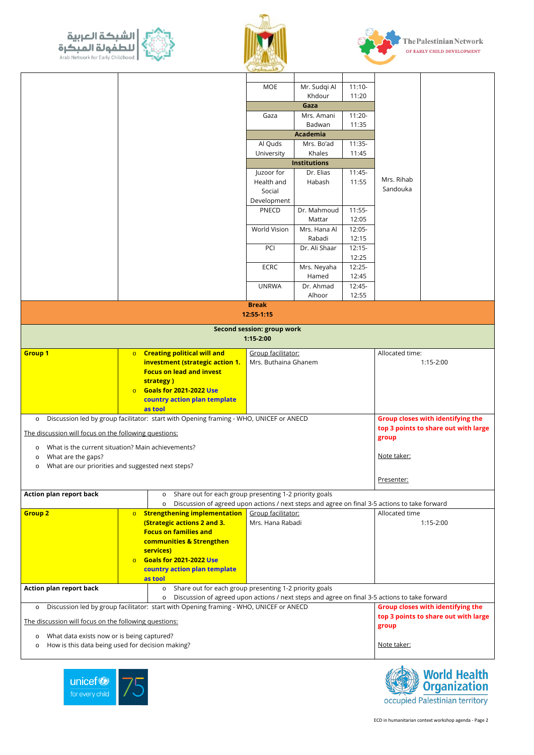



ECD in humanitarian context workshop agenda - Page 2

|                                                                                                                                               | <u>country action plan complate</u> |                                                                                               |                                               |  |  |  |
|-----------------------------------------------------------------------------------------------------------------------------------------------|-------------------------------------|-----------------------------------------------------------------------------------------------|-----------------------------------------------|--|--|--|
|                                                                                                                                               | as tool                             |                                                                                               |                                               |  |  |  |
| <b>Action plan report back</b>                                                                                                                | $\circ$                             | Share out for each group presenting 1-2 priority goals                                        |                                               |  |  |  |
|                                                                                                                                               | $\circ$                             | Discussion of agreed upon actions / next steps and agree on final 3-5 actions to take forward |                                               |  |  |  |
| <b>Group closes with identifying the</b><br>Discussion led by group facilitator: start with Opening framing - WHO, UNICEF or ANECD<br>$\circ$ |                                     |                                                                                               |                                               |  |  |  |
| The discussion will focus on the following questions:                                                                                         |                                     |                                                                                               | top 3 points to share out with large<br>group |  |  |  |
| What data exists now or is being captured?<br>$\circ$                                                                                         |                                     |                                                                                               |                                               |  |  |  |
| How is this data being used for decision making?<br>$\circ$                                                                                   |                                     |                                                                                               | <u>Note taker:</u>                            |  |  |  |
|                                                                                                                                               |                                     |                                                                                               |                                               |  |  |  |





|                                                                                                   |         |                                                                   | Communication                                                                                                       |                     |             |                                          |  |
|---------------------------------------------------------------------------------------------------|---------|-------------------------------------------------------------------|---------------------------------------------------------------------------------------------------------------------|---------------------|-------------|------------------------------------------|--|
|                                                                                                   |         |                                                                   |                                                                                                                     |                     |             |                                          |  |
|                                                                                                   |         |                                                                   | <b>MOE</b>                                                                                                          | Mr. Sudqi Al        | $11:10-$    |                                          |  |
|                                                                                                   |         |                                                                   |                                                                                                                     | Khdour              | 11:20       |                                          |  |
|                                                                                                   |         |                                                                   |                                                                                                                     | Gaza                |             |                                          |  |
|                                                                                                   |         |                                                                   | Gaza                                                                                                                | Mrs. Amani          | $11:20-$    |                                          |  |
|                                                                                                   |         |                                                                   |                                                                                                                     | Badwan              | 11:35       |                                          |  |
|                                                                                                   |         |                                                                   |                                                                                                                     | <b>Academia</b>     |             |                                          |  |
|                                                                                                   |         |                                                                   | Al Quds                                                                                                             | Mrs. Bo'ad          | $11:35-$    |                                          |  |
|                                                                                                   |         |                                                                   | University                                                                                                          | Khales              | 11:45       |                                          |  |
|                                                                                                   |         |                                                                   |                                                                                                                     | <b>Institutions</b> |             |                                          |  |
|                                                                                                   |         |                                                                   | Juzoor for                                                                                                          | Dr. Elias           | $11:45-$    |                                          |  |
|                                                                                                   |         |                                                                   | Health and                                                                                                          | Habash              | 11:55       | Mrs. Rihab                               |  |
|                                                                                                   |         |                                                                   | Social                                                                                                              |                     |             | Sandouka                                 |  |
|                                                                                                   |         |                                                                   | Development                                                                                                         |                     |             |                                          |  |
|                                                                                                   |         |                                                                   | <b>PNECD</b>                                                                                                        | Dr. Mahmoud         | $11:55-$    |                                          |  |
|                                                                                                   |         |                                                                   |                                                                                                                     | Mattar              | 12:05       |                                          |  |
|                                                                                                   |         |                                                                   | World Vision                                                                                                        | Mrs. Hana Al        | 12:05-      |                                          |  |
|                                                                                                   |         |                                                                   |                                                                                                                     | Rabadi              | 12:15       |                                          |  |
|                                                                                                   |         |                                                                   | PCI                                                                                                                 | Dr. Ali Shaar       | $12:15-$    |                                          |  |
|                                                                                                   |         |                                                                   |                                                                                                                     |                     | 12:25       |                                          |  |
|                                                                                                   |         |                                                                   | <b>ECRC</b>                                                                                                         | Mrs. Neyaha         | $12:25-$    |                                          |  |
|                                                                                                   |         |                                                                   |                                                                                                                     | Hamed               | 12:45       |                                          |  |
|                                                                                                   |         |                                                                   | <b>UNRWA</b>                                                                                                        | Dr. Ahmad           | $12:45-$    |                                          |  |
|                                                                                                   |         |                                                                   |                                                                                                                     | Alhoor              | 12:55       |                                          |  |
|                                                                                                   |         |                                                                   | <b>Break</b>                                                                                                        |                     |             |                                          |  |
|                                                                                                   |         |                                                                   | 12:55-1:15                                                                                                          |                     |             |                                          |  |
|                                                                                                   |         |                                                                   | <b>Second session: group work</b>                                                                                   |                     |             |                                          |  |
|                                                                                                   |         |                                                                   | $1:15 - 2:00$                                                                                                       |                     |             |                                          |  |
| <b>Group 1</b>                                                                                    |         | <b>o</b> Creating political will and                              | Group facilitator:                                                                                                  |                     |             | Allocated time:                          |  |
|                                                                                                   |         | investment (strategic action 1.                                   | Mrs. Buthaina Ghanem                                                                                                |                     |             | $1:15-2:00$                              |  |
|                                                                                                   |         | <b>Focus on lead and invest</b>                                   |                                                                                                                     |                     |             |                                          |  |
|                                                                                                   |         | strategy)                                                         |                                                                                                                     |                     |             |                                          |  |
|                                                                                                   | $\circ$ | <b>Goals for 2021-2022 Use</b>                                    |                                                                                                                     |                     |             |                                          |  |
|                                                                                                   |         | country action plan template                                      |                                                                                                                     |                     |             |                                          |  |
|                                                                                                   |         | as tool                                                           |                                                                                                                     |                     |             |                                          |  |
| Discussion led by group facilitator: start with Opening framing - WHO, UNICEF or ANECD<br>$\circ$ |         |                                                                   |                                                                                                                     |                     |             | <b>Group closes with identifying the</b> |  |
| The discussion will focus on the following questions:                                             |         |                                                                   |                                                                                                                     |                     |             | top 3 points to share out with large     |  |
|                                                                                                   |         |                                                                   |                                                                                                                     |                     |             | group                                    |  |
| What is the current situation? Main achievements?<br>$\circ$<br>What are the gaps?<br>$\circ$     |         |                                                                   |                                                                                                                     |                     | Note taker: |                                          |  |
| What are our priorities and suggested next steps?<br>$\circ$                                      |         |                                                                   |                                                                                                                     |                     |             |                                          |  |
|                                                                                                   |         |                                                                   |                                                                                                                     |                     |             |                                          |  |
|                                                                                                   |         |                                                                   |                                                                                                                     |                     | Presenter:  |                                          |  |
| <b>Action plan report back</b>                                                                    |         | Share out for each group presenting 1-2 priority goals<br>$\circ$ |                                                                                                                     |                     |             |                                          |  |
|                                                                                                   |         | $\circ$                                                           |                                                                                                                     |                     |             |                                          |  |
| <b>Group 2</b>                                                                                    |         | <b>o</b> Strengthening implementation                             | Discussion of agreed upon actions / next steps and agree on final 3-5 actions to take forward<br>Group facilitator: |                     |             | Allocated time                           |  |
|                                                                                                   |         | (Strategic actions 2 and 3.                                       | Mrs. Hana Rabadi                                                                                                    |                     |             | $1:15-2:00$                              |  |
|                                                                                                   |         | <b>Focus on families and</b>                                      |                                                                                                                     |                     |             |                                          |  |
|                                                                                                   |         | communities & Strengthen                                          |                                                                                                                     |                     |             |                                          |  |
|                                                                                                   |         |                                                                   |                                                                                                                     |                     |             |                                          |  |
|                                                                                                   |         |                                                                   |                                                                                                                     |                     |             |                                          |  |
|                                                                                                   | $\circ$ | services)<br><b>Goals for 2021-2022 Use</b>                       |                                                                                                                     |                     |             |                                          |  |